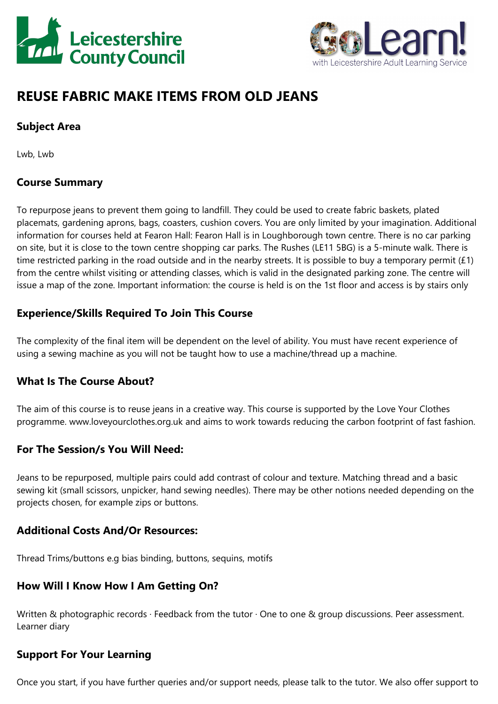



# **REUSE FABRIC MAKE ITEMS FROM OLD JEANS**

# **Subject Area**

Lwb, Lwb

## **Course Summary**

To repurpose jeans to prevent them going to landfill. They could be used to create fabric baskets, plated placemats, gardening aprons, bags, coasters, cushion covers. You are only limited by your imagination. Additional information for courses held at Fearon Hall: Fearon Hall is in Loughborough town centre. There is no car parking on site, but it is close to the town centre shopping car parks. The Rushes (LE11 5BG) is <sup>a</sup> 5-minute walk. There is time restricted parking in the road outside and in the nearby streets. It is possible to buy <sup>a</sup> temporary permit (£1) from the centre whilst visiting or attending classes, which is valid in the designated parking zone. The centre will issue <sup>a</sup> map of the zone. Important information: the course is held is on the 1st floor and access is by stairs only

#### **Experience/Skills Required To Join This Course**

The complexity of the final item will be dependent on the level of ability. You must have recent experience of using <sup>a</sup> sewing machine as you will not be taught how to use <sup>a</sup> machine/thread up <sup>a</sup> machine.

## **What Is The Course About?**

The aim of this course is to reuse jeans in <sup>a</sup> creative way. This course is supported by the Love Your Clothes programme. www.loveyourclothes.org.uk and aims to work towards reducing the carbon footprint of fast fashion.

#### **For The Session/s You Will Need:**

Jeans to be repurposed, multiple pairs could add contrast of colour and texture. Matching thread and <sup>a</sup> basic sewing kit (small scissors, unpicker, hand sewing needles). There may be other notions needed depending on the projects chosen, for example zips or buttons.

#### **Additional Costs And/Or Resources:**

Thread Trims/buttons e.g bias binding, buttons, sequins, motifs

## **How Will I Know How I Am Getting On?**

Written & photographic records · Feedback from the tutor · One to one & group discussions. Peer assessment. Learner diary

## **Support For Your Learning**

Once you start, if you have further queries and/or support needs, please talk to the tutor. We also offer support to